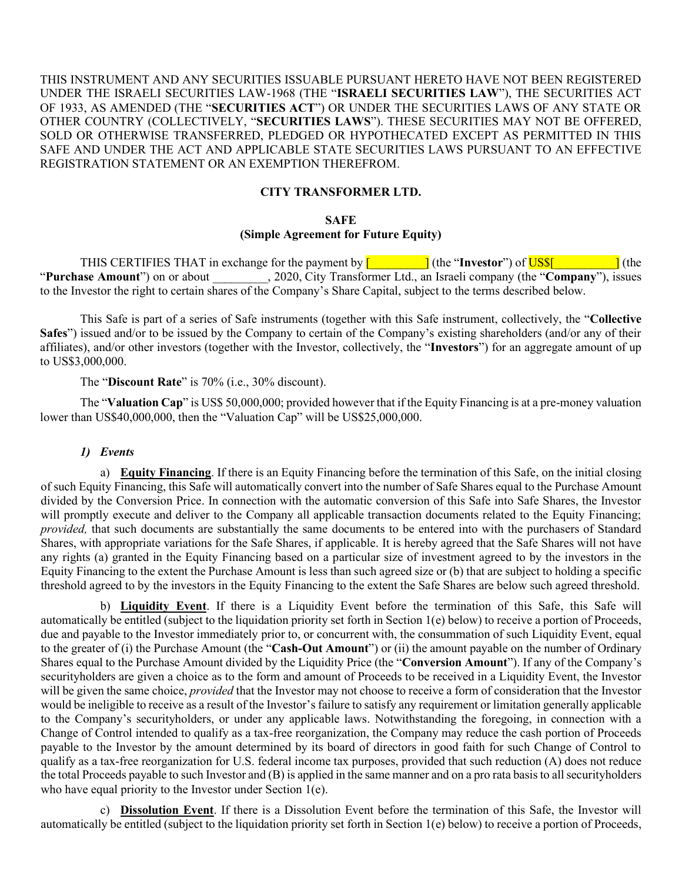THIS INSTRUMENT AND ANY SECURITIES ISSUABLE PURSUANT HERETO HAVE NOT BEEN REGISTERED UNDER THE ISRAELI SECURITIES LAW-1968 (THE "**ISRAELI SECURITIES LAW**"), THE SECURITIES ACT OF 1933, AS AMENDED (THE "**SECURITIES ACT**") OR UNDER THE SECURITIES LAWS OF ANY STATE OR OTHER COUNTRY (COLLECTIVELY, "**SECURITIES LAWS**"). THESE SECURITIES MAY NOT BE OFFERED, SOLD OR OTHERWISE TRANSFERRED, PLEDGED OR HYPOTHECATED EXCEPT AS PERMITTED IN THIS SAFE AND UNDER THE ACT AND APPLICABLE STATE SECURITIES LAWS PURSUANT TO AN EFFECTIVE REGISTRATION STATEMENT OR AN EXEMPTION THEREFROM.

### **CITY TRANSFORMER LTD.**

### **SAFE (Simple Agreement for Future Equity)**

THIS CERTIFIES THAT in exchange for the payment by [\_\_\_\_\_\_\_\_\_] (the "**Investor**") of US\$[\_\_\_\_\_\_\_\_\_\_] (the "Purchase Amount") on or about \_\_\_\_\_\_\_, 2020, City Transformer Ltd., an Israeli company (the "**Company**"), issues to the Investor the right to certain shares of the Company's Share Capital, subject to the terms described below.

This Safe is part of a series of Safe instruments (together with this Safe instrument, collectively, the "**Collective Safes**") issued and/or to be issued by the Company to certain of the Company's existing shareholders (and/or any of their affiliates), and/or other investors (together with the Investor, collectively, the "**Investors**") for an aggregate amount of up to US\$3,000,000.

The "**Discount Rate**" is 70% (i.e., 30% discount).

The "**Valuation Cap**" is US\$ 50,000,000; provided however that if the Equity Financing is at a pre-money valuation lower than US\$40,000,000, then the "Valuation Cap" will be US\$25,000,000.

### *1) Events*

a) **Equity Financing**. If there is an Equity Financing before the termination of this Safe, on the initial closing of such Equity Financing, this Safe will automatically convert into the number of Safe Shares equal to the Purchase Amount divided by the Conversion Price. In connection with the automatic conversion of this Safe into Safe Shares, the Investor will promptly execute and deliver to the Company all applicable transaction documents related to the Equity Financing; *provided*, that such documents are substantially the same documents to be entered into with the purchasers of Standard Shares, with appropriate variations for the Safe Shares, if applicable. It is hereby agreed that the Safe Shares will not have any rights (a) granted in the Equity Financing based on a particular size of investment agreed to by the investors in the Equity Financing to the extent the Purchase Amount is less than such agreed size or (b) that are subject to holding a specific threshold agreed to by the investors in the Equity Financing to the extent the Safe Shares are below such agreed threshold.

b) **Liquidity Event**. If there is a Liquidity Event before the termination of this Safe, this Safe will automatically be entitled (subject to the liquidation priority set forth in Section 1(e) below) to receive a portion of Proceeds, due and payable to the Investor immediately prior to, or concurrent with, the consummation of such Liquidity Event, equal to the greater of (i) the Purchase Amount (the "**Cash-Out Amount**") or (ii) the amount payable on the number of Ordinary Shares equal to the Purchase Amount divided by the Liquidity Price (the "**Conversion Amount**"). If any of the Company's securityholders are given a choice as to the form and amount of Proceeds to be received in a Liquidity Event, the Investor will be given the same choice, *provided* that the Investor may not choose to receive a form of consideration that the Investor would be ineligible to receive as a result of the Investor's failure to satisfy any requirement or limitation generally applicable to the Company's securityholders, or under any applicable laws. Notwithstanding the foregoing, in connection with a Change of Control intended to qualify as a tax-free reorganization, the Company may reduce the cash portion of Proceeds payable to the Investor by the amount determined by its board of directors in good faith for such Change of Control to qualify as a tax-free reorganization for U.S. federal income tax purposes, provided that such reduction (A) does not reduce the total Proceeds payable to such Investor and (B) is applied in the same manner and on a pro rata basis to all securityholders who have equal priority to the Investor under Section 1(e).

c) **Dissolution Event**. If there is a Dissolution Event before the termination of this Safe, the Investor will automatically be entitled (subject to the liquidation priority set forth in Section 1(e) below) to receive a portion of Proceeds,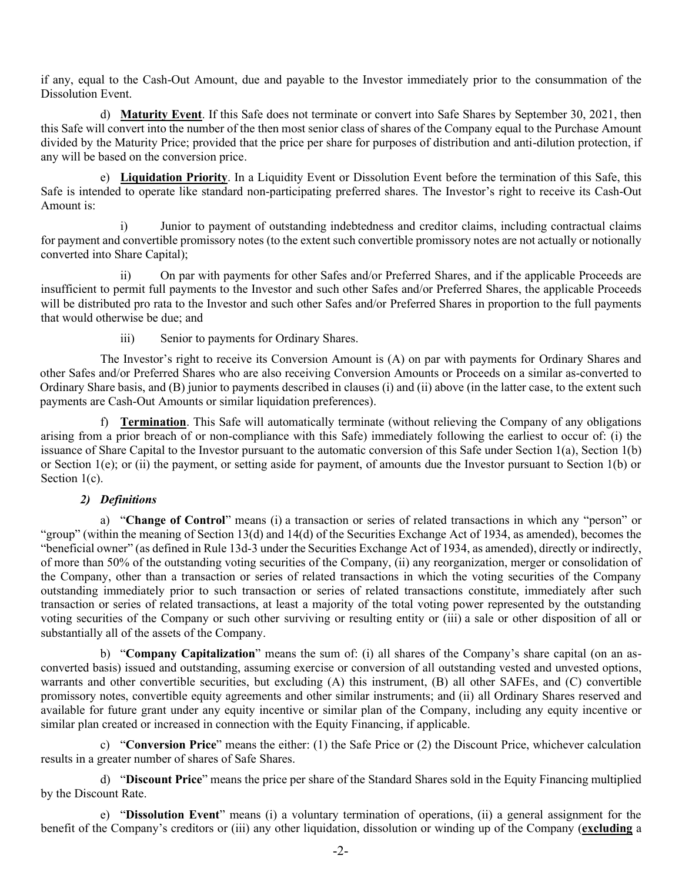if any, equal to the Cash-Out Amount, due and payable to the Investor immediately prior to the consummation of the Dissolution Event.

d) **Maturity Event**. If this Safe does not terminate or convert into Safe Shares by September 30, 2021, then this Safe will convert into the number of the then most senior class of shares of the Company equal to the Purchase Amount divided by the Maturity Price; provided that the price per share for purposes of distribution and anti-dilution protection, if any will be based on the conversion price.

e) **Liquidation Priority**. In a Liquidity Event or Dissolution Event before the termination of this Safe, this Safe is intended to operate like standard non-participating preferred shares. The Investor's right to receive its Cash-Out Amount is:

i) Junior to payment of outstanding indebtedness and creditor claims, including contractual claims for payment and convertible promissory notes (to the extent such convertible promissory notes are not actually or notionally converted into Share Capital);

ii) On par with payments for other Safes and/or Preferred Shares, and if the applicable Proceeds are insufficient to permit full payments to the Investor and such other Safes and/or Preferred Shares, the applicable Proceeds will be distributed pro rata to the Investor and such other Safes and/or Preferred Shares in proportion to the full payments that would otherwise be due; and

iii) Senior to payments for Ordinary Shares.

The Investor's right to receive its Conversion Amount is (A) on par with payments for Ordinary Shares and other Safes and/or Preferred Shares who are also receiving Conversion Amounts or Proceeds on a similar as-converted to Ordinary Share basis, and (B) junior to payments described in clauses (i) and (ii) above (in the latter case, to the extent such payments are Cash-Out Amounts or similar liquidation preferences).

f) **Termination**. This Safe will automatically terminate (without relieving the Company of any obligations arising from a prior breach of or non-compliance with this Safe) immediately following the earliest to occur of: (i) the issuance of Share Capital to the Investor pursuant to the automatic conversion of this Safe under Section 1(a), Section 1(b) or Section 1(e); or (ii) the payment, or setting aside for payment, of amounts due the Investor pursuant to Section 1(b) or Section 1(c).

# *2) Definitions*

a) "**Change of Control**" means (i) a transaction or series of related transactions in which any "person" or "group" (within the meaning of Section 13(d) and 14(d) of the Securities Exchange Act of 1934, as amended), becomes the "beneficial owner" (as defined in Rule 13d-3 under the Securities Exchange Act of 1934, as amended), directly or indirectly, of more than 50% of the outstanding voting securities of the Company, (ii) any reorganization, merger or consolidation of the Company, other than a transaction or series of related transactions in which the voting securities of the Company outstanding immediately prior to such transaction or series of related transactions constitute, immediately after such transaction or series of related transactions, at least a majority of the total voting power represented by the outstanding voting securities of the Company or such other surviving or resulting entity or (iii) a sale or other disposition of all or substantially all of the assets of the Company.

b) "**Company Capitalization**" means the sum of: (i) all shares of the Company's share capital (on an asconverted basis) issued and outstanding, assuming exercise or conversion of all outstanding vested and unvested options, warrants and other convertible securities, but excluding (A) this instrument, (B) all other SAFEs, and (C) convertible promissory notes, convertible equity agreements and other similar instruments; and (ii) all Ordinary Shares reserved and available for future grant under any equity incentive or similar plan of the Company, including any equity incentive or similar plan created or increased in connection with the Equity Financing, if applicable.

c) "**Conversion Price**" means the either: (1) the Safe Price or (2) the Discount Price, whichever calculation results in a greater number of shares of Safe Shares.

d) "**Discount Price**" means the price per share of the Standard Shares sold in the Equity Financing multiplied by the Discount Rate.

e) "**Dissolution Event**" means (i) a voluntary termination of operations, (ii) a general assignment for the benefit of the Company's creditors or (iii) any other liquidation, dissolution or winding up of the Company (**excluding** a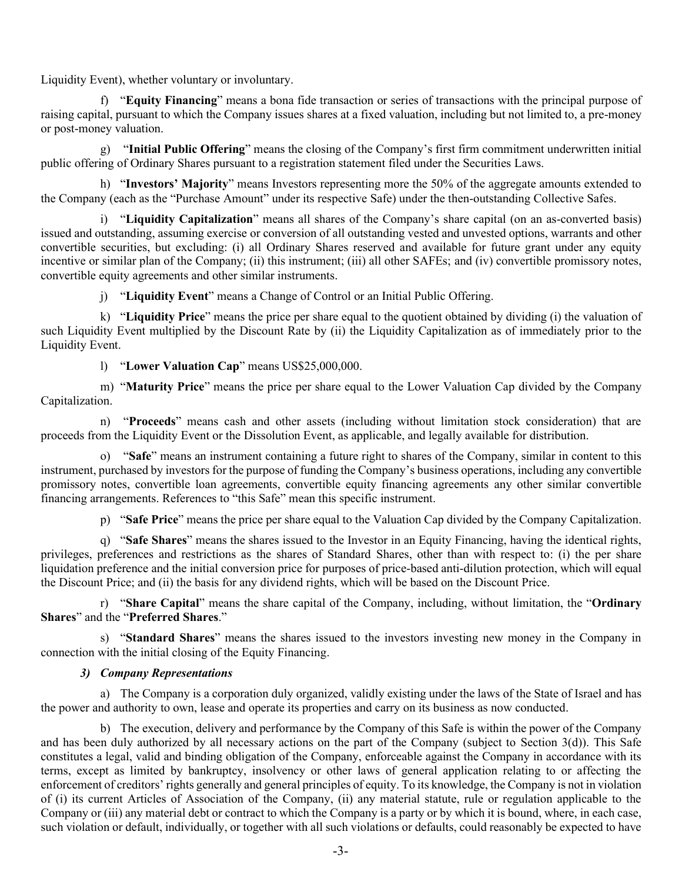Liquidity Event), whether voluntary or involuntary.

f) "**Equity Financing**" means a bona fide transaction or series of transactions with the principal purpose of raising capital, pursuant to which the Company issues shares at a fixed valuation, including but not limited to, a pre-money or post-money valuation.

g) "**Initial Public Offering**" means the closing of the Company's first firm commitment underwritten initial public offering of Ordinary Shares pursuant to a registration statement filed under the Securities Laws.

h) "**Investors' Majority**" means Investors representing more the 50% of the aggregate amounts extended to the Company (each as the "Purchase Amount" under its respective Safe) under the then-outstanding Collective Safes.

i) "**Liquidity Capitalization**" means all shares of the Company's share capital (on an as-converted basis) issued and outstanding, assuming exercise or conversion of all outstanding vested and unvested options, warrants and other convertible securities, but excluding: (i) all Ordinary Shares reserved and available for future grant under any equity incentive or similar plan of the Company; (ii) this instrument; (iii) all other SAFEs; and (iv) convertible promissory notes, convertible equity agreements and other similar instruments.

j) "**Liquidity Event**" means a Change of Control or an Initial Public Offering.

k) "**Liquidity Price**" means the price per share equal to the quotient obtained by dividing (i) the valuation of such Liquidity Event multiplied by the Discount Rate by (ii) the Liquidity Capitalization as of immediately prior to the Liquidity Event.

l) "**Lower Valuation Cap**" means US\$25,000,000.

m) "**Maturity Price**" means the price per share equal to the Lower Valuation Cap divided by the Company Capitalization.

n) "**Proceeds**" means cash and other assets (including without limitation stock consideration) that are proceeds from the Liquidity Event or the Dissolution Event, as applicable, and legally available for distribution.

o) "**Safe**" means an instrument containing a future right to shares of the Company, similar in content to this instrument, purchased by investors for the purpose of funding the Company's business operations, including any convertible promissory notes, convertible loan agreements, convertible equity financing agreements any other similar convertible financing arrangements. References to "this Safe" mean this specific instrument.

p) "**Safe Price**" means the price per share equal to the Valuation Cap divided by the Company Capitalization.

q) "**Safe Shares**" means the shares issued to the Investor in an Equity Financing, having the identical rights, privileges, preferences and restrictions as the shares of Standard Shares, other than with respect to: (i) the per share liquidation preference and the initial conversion price for purposes of price-based anti-dilution protection, which will equal the Discount Price; and (ii) the basis for any dividend rights, which will be based on the Discount Price.

r) "**Share Capital**" means the share capital of the Company, including, without limitation, the "**Ordinary Shares**" and the "**Preferred Shares**."

s) "**Standard Shares**" means the shares issued to the investors investing new money in the Company in connection with the initial closing of the Equity Financing.

## *3) Company Representations*

a) The Company is a corporation duly organized, validly existing under the laws of the State of Israel and has the power and authority to own, lease and operate its properties and carry on its business as now conducted.

b) The execution, delivery and performance by the Company of this Safe is within the power of the Company and has been duly authorized by all necessary actions on the part of the Company (subject to Section 3(d)). This Safe constitutes a legal, valid and binding obligation of the Company, enforceable against the Company in accordance with its terms, except as limited by bankruptcy, insolvency or other laws of general application relating to or affecting the enforcement of creditors' rights generally and general principles of equity. To its knowledge, the Company is not in violation of (i) its current Articles of Association of the Company, (ii) any material statute, rule or regulation applicable to the Company or (iii) any material debt or contract to which the Company is a party or by which it is bound, where, in each case, such violation or default, individually, or together with all such violations or defaults, could reasonably be expected to have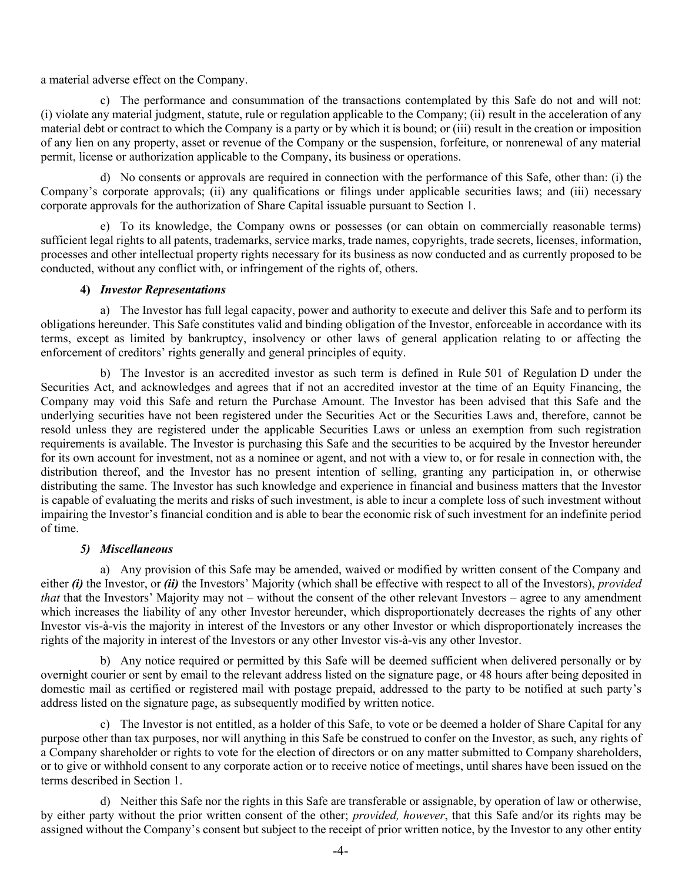a material adverse effect on the Company.

c) The performance and consummation of the transactions contemplated by this Safe do not and will not: (i) violate any material judgment, statute, rule or regulation applicable to the Company; (ii) result in the acceleration of any material debt or contract to which the Company is a party or by which it is bound; or (iii) result in the creation or imposition of any lien on any property, asset or revenue of the Company or the suspension, forfeiture, or nonrenewal of any material permit, license or authorization applicable to the Company, its business or operations.

d) No consents or approvals are required in connection with the performance of this Safe, other than: (i) the Company's corporate approvals; (ii) any qualifications or filings under applicable securities laws; and (iii) necessary corporate approvals for the authorization of Share Capital issuable pursuant to Section 1.

e) To its knowledge, the Company owns or possesses (or can obtain on commercially reasonable terms) sufficient legal rights to all patents, trademarks, service marks, trade names, copyrights, trade secrets, licenses, information, processes and other intellectual property rights necessary for its business as now conducted and as currently proposed to be conducted, without any conflict with, or infringement of the rights of, others.

## **4)** *Investor Representations*

a) The Investor has full legal capacity, power and authority to execute and deliver this Safe and to perform its obligations hereunder. This Safe constitutes valid and binding obligation of the Investor, enforceable in accordance with its terms, except as limited by bankruptcy, insolvency or other laws of general application relating to or affecting the enforcement of creditors' rights generally and general principles of equity.

b) The Investor is an accredited investor as such term is defined in Rule 501 of Regulation D under the Securities Act, and acknowledges and agrees that if not an accredited investor at the time of an Equity Financing, the Company may void this Safe and return the Purchase Amount. The Investor has been advised that this Safe and the underlying securities have not been registered under the Securities Act or the Securities Laws and, therefore, cannot be resold unless they are registered under the applicable Securities Laws or unless an exemption from such registration requirements is available. The Investor is purchasing this Safe and the securities to be acquired by the Investor hereunder for its own account for investment, not as a nominee or agent, and not with a view to, or for resale in connection with, the distribution thereof, and the Investor has no present intention of selling, granting any participation in, or otherwise distributing the same. The Investor has such knowledge and experience in financial and business matters that the Investor is capable of evaluating the merits and risks of such investment, is able to incur a complete loss of such investment without impairing the Investor's financial condition and is able to bear the economic risk of such investment for an indefinite period of time.

## *5) Miscellaneous*

a) Any provision of this Safe may be amended, waived or modified by written consent of the Company and either *(i)* the Investor, or *(ii)* the Investors' Majority (which shall be effective with respect to all of the Investors), *provided that* that the Investors' Majority may not – without the consent of the other relevant Investors – agree to any amendment which increases the liability of any other Investor hereunder, which disproportionately decreases the rights of any other Investor vis-à-vis the majority in interest of the Investors or any other Investor or which disproportionately increases the rights of the majority in interest of the Investors or any other Investor vis-à-vis any other Investor.

b) Any notice required or permitted by this Safe will be deemed sufficient when delivered personally or by overnight courier or sent by email to the relevant address listed on the signature page, or 48 hours after being deposited in domestic mail as certified or registered mail with postage prepaid, addressed to the party to be notified at such party's address listed on the signature page, as subsequently modified by written notice.

c) The Investor is not entitled, as a holder of this Safe, to vote or be deemed a holder of Share Capital for any purpose other than tax purposes, nor will anything in this Safe be construed to confer on the Investor, as such, any rights of a Company shareholder or rights to vote for the election of directors or on any matter submitted to Company shareholders, or to give or withhold consent to any corporate action or to receive notice of meetings, until shares have been issued on the terms described in Section 1.

d) Neither this Safe nor the rights in this Safe are transferable or assignable, by operation of law or otherwise, by either party without the prior written consent of the other; *provided, however*, that this Safe and/or its rights may be assigned without the Company's consent but subject to the receipt of prior written notice, by the Investor to any other entity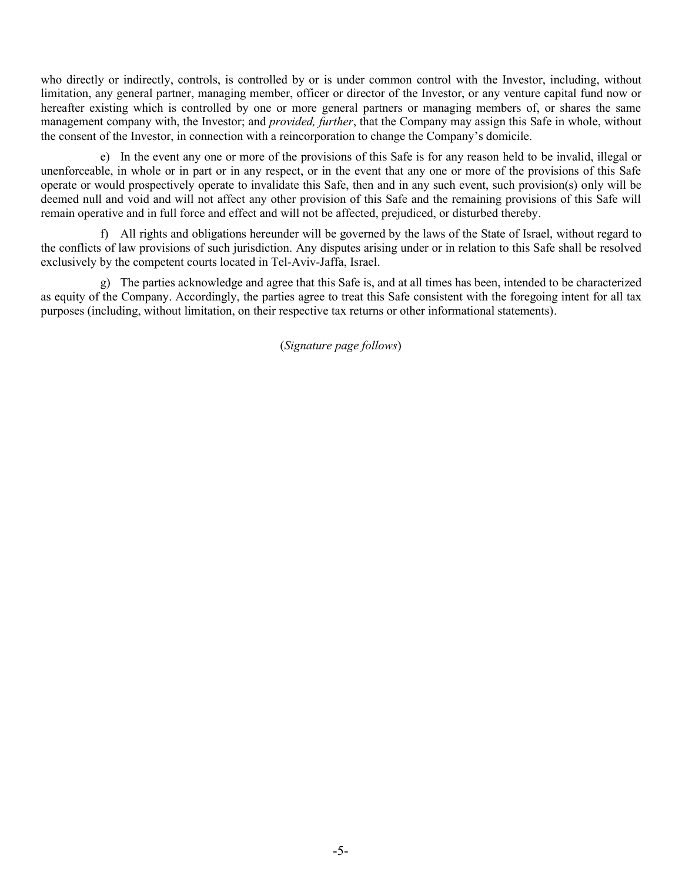who directly or indirectly, controls, is controlled by or is under common control with the Investor, including, without limitation, any general partner, managing member, officer or director of the Investor, or any venture capital fund now or hereafter existing which is controlled by one or more general partners or managing members of, or shares the same management company with, the Investor; and *provided, further*, that the Company may assign this Safe in whole, without the consent of the Investor, in connection with a reincorporation to change the Company's domicile.

e) In the event any one or more of the provisions of this Safe is for any reason held to be invalid, illegal or unenforceable, in whole or in part or in any respect, or in the event that any one or more of the provisions of this Safe operate or would prospectively operate to invalidate this Safe, then and in any such event, such provision(s) only will be deemed null and void and will not affect any other provision of this Safe and the remaining provisions of this Safe will remain operative and in full force and effect and will not be affected, prejudiced, or disturbed thereby.

f) All rights and obligations hereunder will be governed by the laws of the State of Israel, without regard to the conflicts of law provisions of such jurisdiction. Any disputes arising under or in relation to this Safe shall be resolved exclusively by the competent courts located in Tel-Aviv-Jaffa, Israel.

g) The parties acknowledge and agree that this Safe is, and at all times has been, intended to be characterized as equity of the Company. Accordingly, the parties agree to treat this Safe consistent with the foregoing intent for all tax purposes (including, without limitation, on their respective tax returns or other informational statements).

(*Signature page follows*)